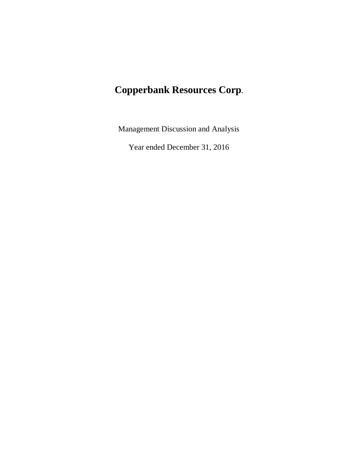# **Copperbank Resources Corp.**

Management Discussion and Analysis

Year ended December 31, 2016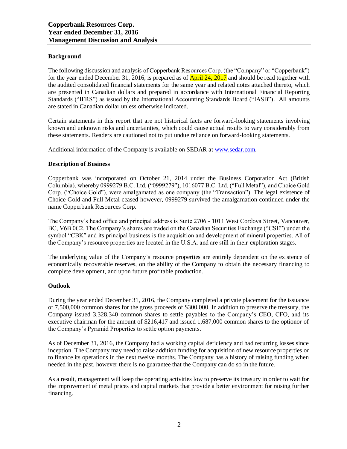# **Background**

The following discussion and analysis of Copperbank Resources Corp. (the "Company" or "Copperbank") for the year ended December 31, 2016, is prepared as of **April 24, 2017** and should be read together with the audited consolidated financial statements for the same year and related notes attached thereto, which are presented in Canadian dollars and prepared in accordance with International Financial Reporting Standards ("IFRS") as issued by the International Accounting Standards Board ("IASB"). All amounts are stated in Canadian dollar unless otherwise indicated.

Certain statements in this report that are not historical facts are forward-looking statements involving known and unknown risks and uncertainties, which could cause actual results to vary considerably from these statements. Readers are cautioned not to put undue reliance on forward-looking statements.

Additional information of the Company is available on SEDAR at [www.sedar.com.](http://www.sedar.com/)

## **Description of Business**

Copperbank was incorporated on October 21, 2014 under the Business Corporation Act (British Columbia), whereby 0999279 B.C. Ltd. ("0999279"), 1016077 B.C. Ltd. ("Full Metal"), and Choice Gold Corp. ("Choice Gold"), were amalgamated as one company (the "Transaction"). The legal existence of Choice Gold and Full Metal ceased however, 0999279 survived the amalgamation continued under the name Copperbank Resources Corp.

The Company's head office and principal address is Suite 2706 - 1011 West Cordova Street, Vancouver, BC, V6B 0C2. The Company's shares are traded on the Canadian Securities Exchange ("CSE") under the symbol "CBK" and its principal business is the acquisition and development of mineral properties. All of the Company's resource properties are located in the U.S.A. and are still in their exploration stages.

The underlying value of the Company's resource properties are entirely dependent on the existence of economically recoverable reserves, on the ability of the Company to obtain the necessary financing to complete development, and upon future profitable production.

#### **Outlook**

During the year ended December 31, 2016, the Company completed a private placement for the issuance of 7,500,000 common shares for the gross proceeds of \$300,000. In addition to preserve the treasury, the Company issued 3,328,340 common shares to settle payables to the Company's CEO, CFO, and its executive chairman for the amount of \$216,417 and issued 1,687,000 common shares to the optionor of the Company's Pyramid Properties to settle option payments.

As of December 31, 2016, the Company had a working capital deficiency and had recurring losses since inception. The Company may need to raise addition funding for acquisition of new resource properties or to finance its operations in the next twelve months. The Company has a history of raising funding when needed in the past, however there is no guarantee that the Company can do so in the future.

As a result, management will keep the operating activities low to preserve its treasury in order to wait for the improvement of metal prices and capital markets that provide a better environment for raising further financing.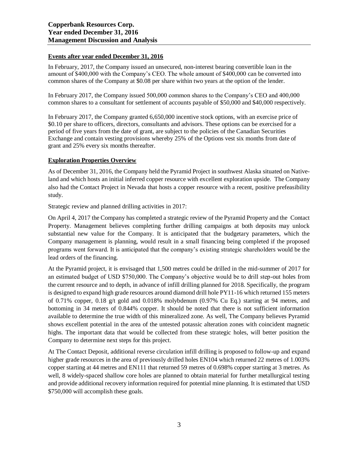## **Events after year ended December 31, 2016**

In February, 2017, the Company issued an unsecured, non-interest bearing convertible loan in the amount of \$400,000 with the Company's CEO. The whole amount of \$400,000 can be converted into common shares of the Company at \$0.08 per share within two years at the option of the lender.

In February 2017, the Company issued 500,000 common shares to the Company's CEO and 400,000 common shares to a consultant for settlement of accounts payable of \$50,000 and \$40,000 respectively.

In February 2017, the Company granted 6,650,000 incentive stock options, with an exercise price of \$0.10 per share to officers, directors, consultants and advisors. These options can be exercised for a period of five years from the date of grant, are subject to the policies of the Canadian Securities Exchange and contain vesting provisions whereby 25% of the Options vest six months from date of grant and 25% every six months thereafter.

## **Exploration Properties Overview**

As of December 31, 2016, the Company held the Pyramid Project in southwest Alaska situated on Nativeland and which hosts an initial inferred copper resource with excellent exploration upside. The Company also had the Contact Project in Nevada that hosts a copper resource with a recent, positive prefeasibility study.

Strategic review and planned drilling activities in 2017:

On April 4, 2017 the Company has completed a strategic review of the Pyramid Property and the Contact Property. Management believes completing further drilling campaigns at both deposits may unlock substantial new value for the Company. It is anticipated that the budgetary parameters, which the Company management is planning, would result in a small financing being completed if the proposed programs went forward. It is anticipated that the company's existing strategic shareholders would be the lead orders of the financing.

At the Pyramid project, it is envisaged that 1,500 metres could be drilled in the mid-summer of 2017 for an estimated budget of USD \$750,000. The Company's objective would be to drill step-out holes from the current resource and to depth, in advance of infill drilling planned for 2018. Specifically, the program is designed to expand high grade resources around diamond drill hole PY11-16 which returned 155 meters of 0.71% copper, 0.18 g/t gold and 0.018% molybdenum (0.97% Cu Eq.) starting at 94 metres, and bottoming in 34 meters of 0.844% copper. It should be noted that there is not sufficient information available to determine the true width of this mineralized zone. As well, The Company believes Pyramid shows excellent potential in the area of the untested potassic alteration zones with coincident magnetic highs. The important data that would be collected from these strategic holes, will better position the Company to determine next steps for this project.

At The Contact Deposit, additional reverse circulation infill drilling is proposed to follow-up and expand higher grade resources in the area of previously drilled holes EN104 which returned 22 metres of 1.003% copper starting at 44 metres and EN111 that returned 59 metres of 0.698% copper starting at 3 metres. As well, 8 widely-spaced shallow core holes are planned to obtain material for further metallurgical testing and provide additional recovery information required for potential mine planning. It is estimated that USD \$750,000 will accomplish these goals.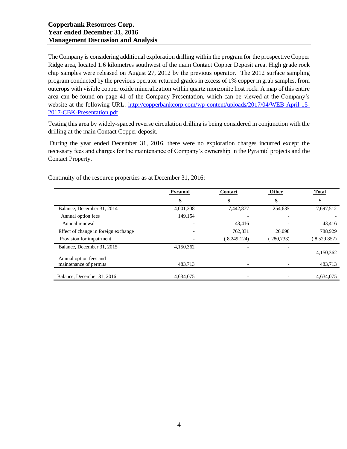The Company is considering additional exploration drilling within the program for the prospective Copper Ridge area, located 1.6 kilometres southwest of the main Contact Copper Deposit area. High grade rock chip samples were released on August 27, 2012 by the previous operator. The 2012 surface sampling program conducted by the previous operator returned grades in excess of 1% copper in grab samples, from outcrops with visible copper oxide mineralization within quartz monzonite host rock. A map of this entire area can be found on page 41 of the Company Presentation, which can be viewed at the Company's website at the following URL: [http://copperbankcorp.com/wp-content/uploads/2017/04/WEB-April-15-](http://copperbankcorp.com/wp-content/uploads/2017/04/WEB-April-15-2017-CBK-Presentation.pdf) [2017-CBK-Presentation.pdf](http://copperbankcorp.com/wp-content/uploads/2017/04/WEB-April-15-2017-CBK-Presentation.pdf)

Testing this area by widely-spaced reverse circulation drilling is being considered in conjunction with the drilling at the main Contact Copper deposit.

During the year ended December 31, 2016, there were no exploration charges incurred except the necessary fees and charges for the maintenance of Company's ownership in the Pyramid projects and the Contact Property.

|                                                  | Pyramid   | <b>Contact</b> | Other      | <b>Total</b> |
|--------------------------------------------------|-----------|----------------|------------|--------------|
|                                                  | \$        | \$             | \$         | \$           |
| Balance, December 31, 2014                       | 4,001,208 | 7,442,877      | 254,635    | 7,697,512    |
| Annual option fees                               | 149.154   |                |            |              |
| Annual renewal                                   |           | 43.416         |            | 43,416       |
| Effect of change in foreign exchange             |           | 762,831        | 26,098     | 788,929      |
| Provision for impairment                         |           | (8,249,124)    | (280, 733) | (8,529,857)  |
| Balance, December 31, 2015                       | 4,150,362 |                |            | 4,150,362    |
| Annual option fees and<br>maintenance of permits | 483,713   |                |            | 483,713      |
| Balance, December 31, 2016                       | 4.634,075 |                |            | 4.634,075    |

Continuity of the resource properties as at December 31, 2016: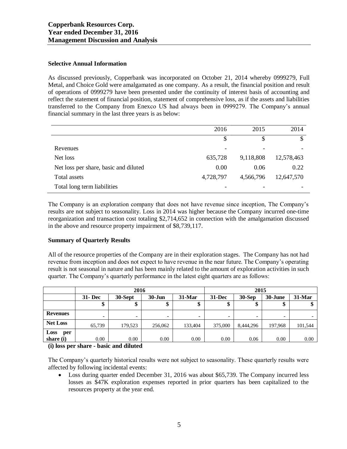## **Selective Annual Information**

As discussed previously, Copperbank was incorporated on October 21, 2014 whereby 0999279, Full Metal, and Choice Gold were amalgamated as one company. As a result, the financial position and result of operations of 0999279 have been presented under the continuity of interest basis of accounting and reflect the statement of financial position, statement of comprehensive loss, as if the assets and liabilities transferred to the Company from Enexco US had always been in 0999279. The Company's annual financial summary in the last three years is as below:

|                                       | 2016                     | 2015      | 2014       |
|---------------------------------------|--------------------------|-----------|------------|
|                                       | \$                       | S         | S          |
| Revenues                              | $\overline{\phantom{a}}$ |           |            |
| Net loss                              | 635,728                  | 9,118,808 | 12,578,463 |
| Net loss per share, basic and diluted | 0.00                     | 0.06      | 0.22       |
| Total assets                          | 4,728,797                | 4,566,796 | 12,647,570 |
| Total long term liabilities           |                          |           |            |

The Company is an exploration company that does not have revenue since inception, The Company's results are not subject to seasonality. Loss in 2014 was higher because the Company incurred one-time reorganization and transaction cost totaling \$2,714,652 in connection with the amalgamation discussed in the above and resource property impairment of \$8,739,117.

## **Summary of Quarterly Results**

All of the resource properties of the Company are in their exploration stages. The Company has not had revenue from inception and does not expect to have revenue in the near future. The Company's operating result is not seasonal in nature and has been mainly related to the amount of exploration activities in such quarter. The Company's quarterly performance in the latest eight quarters are as follows:

|                 | 2016       |                          |            | 2015                         |                          |           |                          |                          |
|-----------------|------------|--------------------------|------------|------------------------------|--------------------------|-----------|--------------------------|--------------------------|
|                 | $31 - Dec$ | 30-Sept                  | $30 - Jun$ | $31-Mar$                     | $31 - Dec$               | $30-Sep$  | 30-June                  | 31-Mar                   |
|                 | \$         | æ<br>Φ                   | ¢<br>Φ     | Φ<br>Φ                       | Φ                        | \$        | ¢<br>⊅                   | Φ                        |
| <b>Revenues</b> | -          | $\overline{\phantom{0}}$ | -          | $\qquad \qquad \blacksquare$ | $\overline{\phantom{a}}$ | -         | $\overline{\phantom{0}}$ | $\overline{\phantom{a}}$ |
| <b>Net Loss</b> | 65,739     | 179,523                  | 256,062    | 133,404                      | 375,000                  | 8,444,296 | 197,968                  | 101,544                  |
| Loss<br>per     |            |                          |            |                              |                          |           |                          |                          |
| share (i)       | 0.00       | 0.00                     | 0.00       | 0.00                         | 0.00                     | 0.06      | 0.00                     | 0.00                     |

**(i) loss per share - basic and diluted**

The Company's quarterly historical results were not subject to seasonality. These quarterly results were affected by following incidental events:

• Loss during quarter ended December 31, 2016 was about \$65,739. The Company incurred less losses as \$47K exploration expenses reported in prior quarters has been capitalized to the resources property at the year end.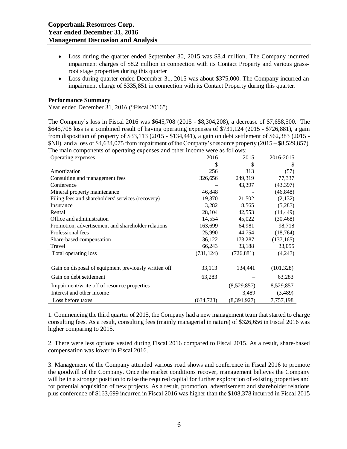- Loss during the quarter ended September 30, 2015 was \$8.4 million. The Company incurred impairment charges of \$8.2 million in connection with its Contact Property and various grassroot stage properties during this quarter
- Loss during quarter ended December 31, 2015 was about \$375,000. The Company incurred an impairment charge of \$335,851 in connection with its Contact Property during this quarter.

## **Performance Summary**

Year ended December 31, 2016 ("Fiscal 2016")

The Company's loss in Fiscal 2016 was \$645,708 (2015 - \$8,304,208), a decrease of \$7,658,500. The \$645,708 loss is a combined result of having operating expenses of \$731,124 (2015 - \$726,881), a gain from disposition of property of \$33,113 (2015 - \$134,441), a gain on debt settlement of \$62,383 (2015 - \$Nil), and a loss of \$4,634,075 from impairment of the Company's resource property (2015 – \$8,529,857). The main components of opertaing expenses and other income were as follows:

| Operating expenses                                   | 2016       | 2015        | 2016-2015  |
|------------------------------------------------------|------------|-------------|------------|
|                                                      | \$         | \$          | \$         |
| Amortization                                         | 256        | 313         | (57)       |
| Consulting and management fees                       | 326,656    | 249,319     | 77,337     |
| Conference                                           |            | 43,397      | (43, 397)  |
| Mineral property maintenance                         | 46,848     |             | (46, 848)  |
| Filing fees and shareholders' services (recovery)    | 19,370     | 21,502      | (2,132)    |
| Insurance                                            | 3,282      | 8,565       | (5,283)    |
| Rental                                               | 28,104     | 42,553      | (14, 449)  |
| Office and administration                            | 14,554     | 45,022      | (30, 468)  |
| Promotion, advertisement and shareholder relations   | 163,699    | 64,981      | 98,718     |
| Professional fees                                    | 25,990     | 44,754      | (18, 764)  |
| Share-based compensation                             | 36,122     | 173,287     | (137, 165) |
| Travel                                               | 66,243     | 33,188      | 33,055     |
| Total operating loss                                 | (731, 124) | (726, 881)  | (4,243)    |
|                                                      |            |             |            |
| Gain on disposal of equipment previously written off | 33,113     | 134,441     | (101, 328) |
| Gain on debt settlement                              | 63,283     |             | 63,283     |
| Impairment/write off of resource properties          |            | (8,529,857) | 8,529,857  |
| Interest and other income                            |            | 3,489       | (3,489)    |
| Loss before taxes                                    | (634, 728) | (8,391,927) | 7,757,198  |

1. Commencing the third quarter of 2015, the Company had a new management team that started to charge consulting fees. As a result, consulting fees (mainly managerial in nature) of \$326,656 in Fiscal 2016 was higher comparing to 2015.

2. There were less options vested during Fiscal 2016 compared to Fiscal 2015. As a result, share-based compensation was lower in Fiscal 2016.

3. Management of the Company attended various road shows and conference in Fiscal 2016 to promote the goodwill of the Company. Once the market conditions recover, management believes the Company will be in a stronger position to raise the required capital for further exploration of existing properties and for potential acquisition of new projects. As a result, promotion, advertisement and shareholder relations plus conference of \$163,699 incurred in Fiscal 2016 was higher than the \$108,378 incurred in Fiscal 2015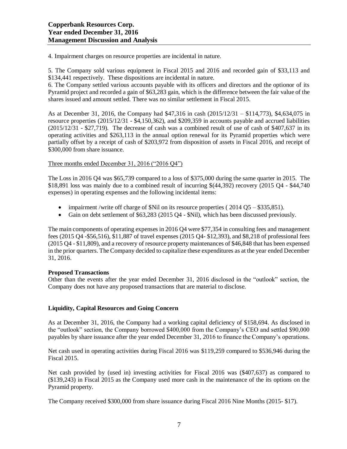4. Impairment charges on resource properties are incidental in nature.

5. The Company sold various equipment in Fiscal 2015 and 2016 and recorded gain of \$33,113 and \$134,441 respectively. These dispositions are incidental in nature.

6. The Company settled various accounts payable with its officers and directors and the optionor of its Pyramid project and recorded a gain of \$63,283 gain, which is the difference between the fair value of the shares issued and amount settled. There was no similar settlement in Fiscal 2015.

As at December 31, 2016, the Company had \$47,316 in cash (2015/12/31 – \$114,773), \$4,634,075 in resource properties (2015/12/31 - \$4,150,362), and \$209,359 in accounts payable and accrued liabilities  $(2015/12/31 - $27,719)$ . The decrease of cash was a combined result of use of cash of \$407,637 in its operating activities and \$263,113 in the annual option renewal for its Pyramid properties which were partially offset by a receipt of cash of \$203,972 from disposition of assets in Fiscal 2016, and receipt of \$300,000 from share issuance.

Three months ended December 31, 2016 ("2016 Q4")

The Loss in 2016 Q4 was \$65,739 compared to a loss of \$375,000 during the same quarter in 2015. The \$18,891 loss was mainly due to a combined result of incurring \$(44,392) recovery (2015 Q4 - \$44,740 expenses) in operating expenses and the following incidental items:

- impairment /write off charge of \$Nil on its resource properties ( $2014\text{ O}5 $335,851$ ).
- Gain on debt settlement of \$63,283 (2015 Q4 \$Nil), which has been discussed previously.

The main components of operating expenses in 2016 Q4 were \$77,354 in consulting fees and management fees (2015 Q4 -\$56,516), \$11,887 of travel expenses (2015 Q4- \$12,393), and \$8,218 of professional fees (2015 Q4 - \$11,809), and a recovery of resource property maintenances of \$46,848 that has been expensed in the prior quarters. The Company decided to capitalize these expenditures as at the year ended December 31, 2016.

## **Proposed Transactions**

Other than the events after the year ended December 31, 2016 disclosed in the "outlook" section, the Company does not have any proposed transactions that are material to disclose.

# **Liquidity, Capital Resources and Going Concern**

As at December 31, 2016, the Company had a working capital deficiency of \$158,694. As disclosed in the "outlook" section, the Company borrowed \$400,000 from the Company's CEO and settled \$90,000 payables by share issuance after the year ended December 31, 2016 to finance the Company's operations.

Net cash used in operating activities during Fiscal 2016 was \$119,259 compared to \$536,946 during the Fiscal 2015.

Net cash provided by (used in) investing activities for Fiscal 2016 was (\$407,637) as compared to (\$139,243) in Fiscal 2015 as the Company used more cash in the maintenance of the its options on the Pyramid property.

The Company received \$300,000 from share issuance during Fiscal 2016 Nine Months (2015- \$17).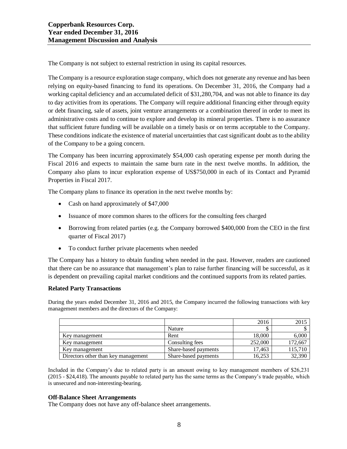The Company is not subject to external restriction in using its capital resources.

The Company is a resource exploration stage company, which does not generate any revenue and has been relying on equity-based financing to fund its operations. On December 31, 2016, the Company had a working capital deficiency and an accumulated deficit of \$31,280,704, and was not able to finance its day to day activities from its operations. The Company will require additional financing either through equity or debt financing, sale of assets, joint venture arrangements or a combination thereof in order to meet its administrative costs and to continue to explore and develop its mineral properties. There is no assurance that sufficient future funding will be available on a timely basis or on terms acceptable to the Company. These conditions indicate the existence of material uncertainties that cast significant doubt as to the ability of the Company to be a going concern.

The Company has been incurring approximately \$54,000 cash operating expense per month during the Fiscal 2016 and expects to maintain the same burn rate in the next twelve months. In addition, the Company also plans to incur exploration expense of US\$750,000 in each of its Contact and Pyramid Properties in Fiscal 2017.

The Company plans to finance its operation in the next twelve months by:

- Cash on hand approximately of \$47,000
- Issuance of more common shares to the officers for the consulting fees charged
- Borrowing from related parties (e.g. the Company borrowed \$400,000 from the CEO in the first quarter of Fiscal 2017)
- To conduct further private placements when needed

The Company has a history to obtain funding when needed in the past. However, readers are cautioned that there can be no assurance that management's plan to raise further financing will be successful, as it is dependent on prevailing capital market conditions and the continued supports from its related parties.

## **Related Party Transactions**

During the years ended December 31, 2016 and 2015, the Company incurred the following transactions with key management members and the directors of the Company:

|                                     |                      | 2016    | 2015    |
|-------------------------------------|----------------------|---------|---------|
|                                     | Nature               |         |         |
| Key management                      | Rent                 | 18,000  | 6,000   |
| Key management                      | Consulting fees      | 252,000 | 172,667 |
| Key management                      | Share-based payments | 17.463  | 115.710 |
| Directors other than key management | Share-based payments | 16,253  | 32,390  |

Included in the Company's due to related party is an amount owing to key management members of \$26,231 (2015 - \$24,418). The amounts payable to related party has the same terms as the Company's trade payable, which is unsecured and non-interesting-bearing.

## **Off-Balance Sheet Arrangements**

The Company does not have any off-balance sheet arrangements.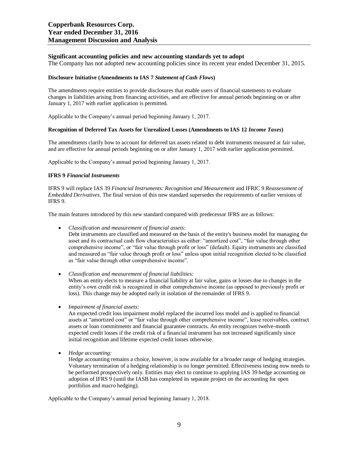#### **Significant accounting policies and new accounting standards yet to adopt**

The Company has not adopted new accounting policies since its recent year ended December 31, 2015.

#### **Disclosure Initiative (Amendments to IAS 7** *Statement of Cash Flows***)**

The amendments require entities to provide disclosures that enable users of financial statements to evaluate changes in liabilities arising from financing activities, and are effective for annual periods beginning on or after January 1, 2017 with earlier application is permitted.

Applicable to the Company's annual period beginning January 1, 2017.

#### **Recognition of Deferred Tax Assets for Unrealized Losses (Amendments to IAS 12** *Income Taxes***)**

The amendments clarify how to account for deferred tax assets related to debt instruments measured at fair value, and are effective for annual periods beginning on or after January 1, 2017 with earlier application permitted.

Applicable to the Company's annual period beginning January 1, 2017.

#### **IFRS 9** *Financial Instruments*

IFRS 9 will replace IAS 39 *Financial Instruments: Recognition and Measurement* and IFRIC 9 *Reassessment of Embedded Derivatives*. The final version of this new standard supersedes the requirements of earlier versions of IFRS 9.

The main features introduced by this new standard compared with predecessor IFRS are as follows:

• *Classification and measurement of financial assets:*

Debt instruments are classified and measured on the basis of the entity's business model for managing the asset and its contractual cash flow characteristics as either: "amortized cost", "fair value through other comprehensive income", or "fair value through profit or loss" (default). Equity instruments are classified and measured as "fair value through profit or loss" unless upon initial recognition elected to be classified as "fair value through other comprehensive income".

- *Classification and measurement of financial liabilities:* When an entity elects to measure a financial liability at fair value, gains or losses due to changes in the entity's own credit risk is recognized in other comprehensive income (as opposed to previously profit or loss). This change may be adopted early in isolation of the remainder of IFRS 9.
- *Impairment of financial assets:*

An expected credit loss impairment model replaced the incurred loss model and is applied to financial assets at "amortized cost" or "fair value through other comprehensive income", lease receivables, contract assets or loan commitments and financial guarantee contracts. An entity recognizes twelve-month expected credit losses if the credit risk of a financial instrument has not increased significantly since initial recognition and lifetime expected credit losses otherwise.

• *Hedge accounting:*

Hedge accounting remains a choice, however, is now available for a broader range of hedging strategies. Voluntary termination of a hedging relationship is no longer permitted. Effectiveness testing now needs to be performed prospectively only. Entities may elect to continue to applying IAS 39 hedge accounting on adoption of IFRS 9 (until the IASB has completed its separate project on the accounting for open portfolios and macro hedging).

Applicable to the Company's annual period beginning January 1, 2018.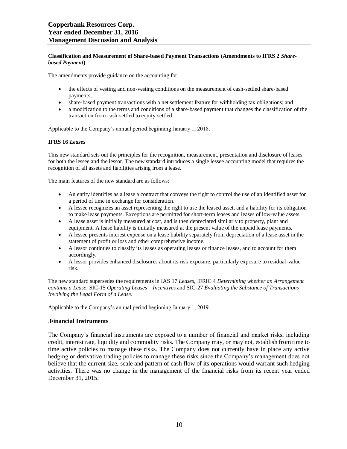#### **Classification and Measurement of Share-based Payment Transactions (Amendments to IFRS 2** *Sharebased Payment***)**

The amendments provide guidance on the accounting for:

- the effects of vesting and non-vesting conditions on the measurement of cash-settled share-based payments;
- share-based payment transactions with a net settlement feature for withholding tax obligations; and
- a modification to the terms and conditions of a share-based payment that changes the classification of the transaction from cash-settled to equity-settled.

Applicable to the Company's annual period beginning January 1, 2018.

#### **IFRS 16** *Leases*

This new standard sets out the principles for the recognition, measurement, presentation and disclosure of leases for both the lessee and the lessor. The new standard introduces a single lessee accounting model that requires the recognition of all assets and liabilities arising from a lease.

The main features of the new standard are as follows:

- An entity identifies as a lease a contract that conveys the right to control the use of an identified asset for a period of time in exchange for consideration.
- A lessee recognizes an asset representing the right to use the leased asset, and a liability for its obligation to make lease payments. Exceptions are permitted for short-term leases and leases of low-value assets.
- A lease asset is initially measured at cost, and is then depreciated similarly to property, plant and equipment. A lease liability is initially measured at the present value of the unpaid lease payments.
- A lessee presents interest expense on a lease liability separately from depreciation of a lease asset in the statement of profit or loss and other comprehensive income.
- A lessor continues to classify its leases as operating leases or finance leases, and to account for them accordingly.
- A lessor provides enhanced disclosures about its risk exposure, particularly exposure to residual-value risk.

The new standard supersedes the requirements in IAS 17 *Leases*, IFRIC 4 *Determining whether an Arrangement contains a Lease*, SIC-15 *Operating Leases – Incentives* and SIC-27 *Evaluating the Substance of Transactions Involving the Legal Form of a Lease*.

Applicable to the Company's annual period beginning January 1, 2019.

#### .**Financial Instruments**

The Company's financial instruments are exposed to a number of financial and market risks, including credit, interest rate, liquidity and commodity risks. The Company may, or may not, establish from time to time active policies to manage these risks. The Company does not currently have in place any active hedging or derivative trading policies to manage these risks since the Company's management does not believe that the current size, scale and pattern of cash flow of its operations would warrant such hedging activities. There was no change in the management of the financial risks from its recent year ended December 31, 2015.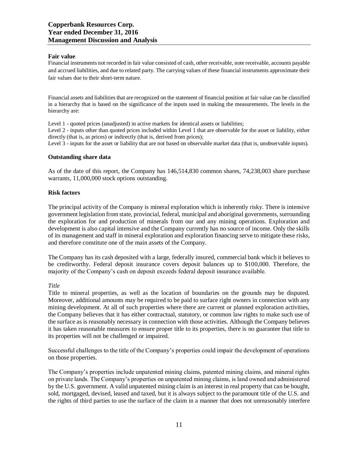#### **Fair value**

Financial instruments not recorded in fair value consisted of cash, other receivable, note receivable, accounts payable and accrued liabilities, and due to related party. The carrying values of these financial instruments approximate their fair values due to their short-term nature.

Financial assets and liabilities that are recognized on the statement of financial position at fair value can be classified in a hierarchy that is based on the significance of the inputs used in making the measurements. The levels in the hierarchy are:

Level 1 - quoted prices (unadjusted) in active markets for identical assets or liabilities;

Level 2 - inputs other than quoted prices included within Level 1 that are observable for the asset or liability, either directly (that is, as prices) or indirectly (that is, derived from prices);

Level 3 - inputs for the asset or liability that are not based on observable market data (that is, unobservable inputs).

#### **Outstanding share data**

As of the date of this report, the Company has 146,514,830 common shares, 74,238,003 share purchase warrants, 11,000,000 stock options outstanding.

#### **Risk factors**

The principal activity of the Company is mineral exploration which is inherently risky. There is intensive government legislation from state, provincial, federal, municipal and aboriginal governments, surrounding the exploration for and production of minerals from our and any mining operations. Exploration and development is also capital intensive and the Company currently has no source of income. Only the skills of its management and staff in mineral exploration and exploration financing serve to mitigate these risks, and therefore constitute one of the main assets of the Company.

The Company has its cash deposited with a large, federally insured, commercial bank which it believes to be creditworthy. Federal deposit insurance covers deposit balances up to \$100,000. Therefore, the majority of the Company's cash on deposit exceeds federal deposit insurance available.

#### *Title*

Title to mineral properties, as well as the location of boundaries on the grounds may be disputed. Moreover, additional amounts may be required to be paid to surface right owners in connection with any mining development. At all of such properties where there are current or planned exploration activities, the Company believes that it has either contractual, statutory, or common law rights to make such use of the surface as is reasonably necessary in connection with those activities. Although the Company believes it has taken reasonable measures to ensure proper title to its properties, there is no guarantee that title to its properties will not be challenged or impaired.

Successful challenges to the title of the Company's properties could impair the development of operations on those properties.

The Company's properties include unpatented mining claims, patented mining claims, and mineral rights on private lands. The Company's properties on unpatented mining claims, is land owned and administered by the U.S. government. A valid unpatented mining claim is an interest in real property that can be bought, sold, mortgaged, devised, leased and taxed, but it is always subject to the paramount title of the U.S. and the rights of third parties to use the surface of the claim in a manner that does not unreasonably interfere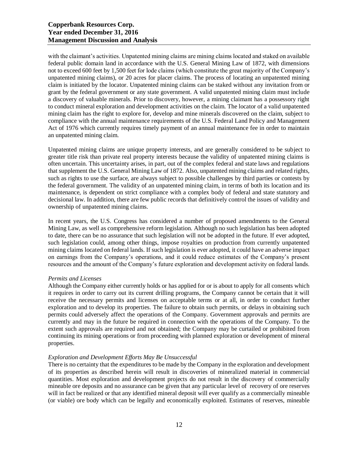# **Copperbank Resources Corp. Year ended December 31, 2016 Management Discussion and Analysis**

with the claimant's activities. Unpatented mining claims are mining claims located and staked on available federal public domain land in accordance with the U.S. General Mining Law of 1872, with dimensions not to exceed 600 feet by 1,500 feet for lode claims (which constitute the great majority of the Company's unpatented mining claims), or 20 acres for placer claims. The process of locating an unpatented mining claim is initiated by the locator. Unpatented mining claims can be staked without any invitation from or grant by the federal government or any state government. A valid unpatented mining claim must include a discovery of valuable minerals. Prior to discovery, however, a mining claimant has a possessory right to conduct mineral exploration and development activities on the claim. The locator of a valid unpatented mining claim has the right to explore for, develop and mine minerals discovered on the claim, subject to compliance with the annual maintenance requirements of the U.S. Federal Land Policy and Management Act of 1976 which currently requires timely payment of an annual maintenance fee in order to maintain an unpatented mining claim.

Unpatented mining claims are unique property interests, and are generally considered to be subject to greater title risk than private real property interests because the validity of unpatented mining claims is often uncertain. This uncertainty arises, in part, out of the complex federal and state laws and regulations that supplement the U.S. General Mining Law of 1872. Also, unpatented mining claims and related rights, such as rights to use the surface, are always subject to possible challenges by third parties or contests by the federal government. The validity of an unpatented mining claim, in terms of both its location and its maintenance, is dependent on strict compliance with a complex body of federal and state statutory and decisional law. In addition, there are few public records that definitively control the issues of validity and ownership of unpatented mining claims.

In recent years, the U.S. Congress has considered a number of proposed amendments to the General Mining Law, as well as comprehensive reform legislation. Although no such legislation has been adopted to date, there can be no assurance that such legislation will not be adopted in the future. If ever adopted, such legislation could, among other things, impose royalties on production from currently unpatented mining claims located on federal lands. If such legislation is ever adopted, it could have an adverse impact on earnings from the Company's operations, and it could reduce estimates of the Company's present resources and the amount of the Company's future exploration and development activity on federal lands.

## *Permits and Licenses*

Although the Company either currently holds or has applied for or is about to apply for all consents which it requires in order to carry out its current drilling programs, the Company cannot be certain that it will receive the necessary permits and licenses on acceptable terms or at all, in order to conduct further exploration and to develop its properties. The failure to obtain such permits, or delays in obtaining such permits could adversely affect the operations of the Company. Government approvals and permits are currently and may in the future be required in connection with the operations of the Company. To the extent such approvals are required and not obtained; the Company may be curtailed or prohibited from continuing its mining operations or from proceeding with planned exploration or development of mineral properties.

## *Exploration and Development Efforts May Be Unsuccessful*

There is no certainty that the expenditures to be made by the Company in the exploration and development of its properties as described herein will result in discoveries of mineralized material in commercial quantities. Most exploration and development projects do not result in the discovery of commercially mineable ore deposits and no assurance can be given that any particular level of recovery of ore reserves will in fact be realized or that any identified mineral deposit will ever qualify as a commercially mineable (or viable) ore body which can be legally and economically exploited. Estimates of reserves, mineable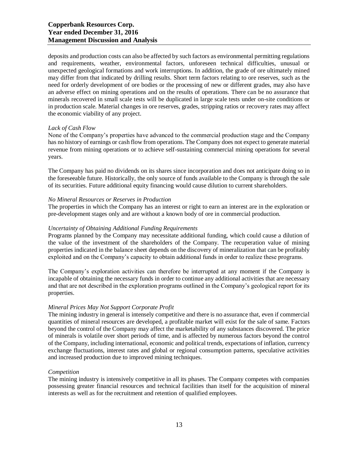deposits and production costs can also be affected by such factors as environmental permitting regulations and requirements, weather, environmental factors, unforeseen technical difficulties, unusual or unexpected geological formations and work interruptions. In addition, the grade of ore ultimately mined may differ from that indicated by drilling results. Short term factors relating to ore reserves, such as the need for orderly development of ore bodies or the processing of new or different grades, may also have an adverse effect on mining operations and on the results of operations. There can be no assurance that minerals recovered in small scale tests will be duplicated in large scale tests under on-site conditions or in production scale. Material changes in ore reserves, grades, stripping ratios or recovery rates may affect the economic viability of any project.

## *Lack of Cash Flow*

None of the Company's properties have advanced to the commercial production stage and the Company has no history of earnings or cash flow from operations. The Company does not expect to generate material revenue from mining operations or to achieve self-sustaining commercial mining operations for several years.

The Company has paid no dividends on its shares since incorporation and does not anticipate doing so in the foreseeable future. Historically, the only source of funds available to the Company is through the sale of its securities. Future additional equity financing would cause dilution to current shareholders.

#### *No Mineral Resources or Reserves in Production*

The properties in which the Company has an interest or right to earn an interest are in the exploration or pre-development stages only and are without a known body of ore in commercial production.

## *Uncertainty of Obtaining Additional Funding Requirements*

Programs planned by the Company may necessitate additional funding, which could cause a dilution of the value of the investment of the shareholders of the Company. The recuperation value of mining properties indicated in the balance sheet depends on the discovery of mineralization that can be profitably exploited and on the Company's capacity to obtain additional funds in order to realize these programs.

The Company's exploration activities can therefore be interrupted at any moment if the Company is incapable of obtaining the necessary funds in order to continue any additional activities that are necessary and that are not described in the exploration programs outlined in the Company's geological report for its properties.

## *Mineral Prices May Not Support Corporate Profit*

The mining industry in general is intensely competitive and there is no assurance that, even if commercial quantities of mineral resources are developed, a profitable market will exist for the sale of same. Factors beyond the control of the Company may affect the marketability of any substances discovered. The price of minerals is volatile over short periods of time, and is affected by numerous factors beyond the control of the Company, including international, economic and political trends, expectations of inflation, currency exchange fluctuations, interest rates and global or regional consumption patterns, speculative activities and increased production due to improved mining techniques.

#### *Competition*

The mining industry is intensively competitive in all its phases. The Company competes with companies possessing greater financial resources and technical facilities than itself for the acquisition of mineral interests as well as for the recruitment and retention of qualified employees.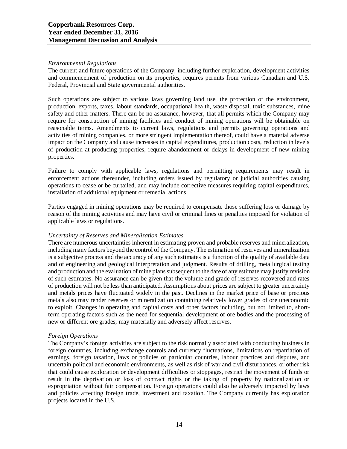#### *Environmental Regulations*

The current and future operations of the Company, including further exploration, development activities and commencement of production on its properties, requires permits from various Canadian and U.S. Federal, Provincial and State governmental authorities.

Such operations are subject to various laws governing land use, the protection of the environment, production, exports, taxes, labour standards, occupational health, waste disposal, toxic substances, mine safety and other matters. There can be no assurance, however, that all permits which the Company may require for construction of mining facilities and conduct of mining operations will be obtainable on reasonable terms. Amendments to current laws, regulations and permits governing operations and activities of mining companies, or more stringent implementation thereof, could have a material adverse impact on the Company and cause increases in capital expenditures, production costs, reduction in levels of production at producing properties, require abandonment or delays in development of new mining properties.

Failure to comply with applicable laws, regulations and permitting requirements may result in enforcement actions thereunder, including orders issued by regulatory or judicial authorities causing operations to cease or be curtailed, and may include corrective measures requiring capital expenditures, installation of additional equipment or remedial actions.

Parties engaged in mining operations may be required to compensate those suffering loss or damage by reason of the mining activities and may have civil or criminal fines or penalties imposed for violation of applicable laws or regulations.

## *Uncertainty of Reserves and Mineralization Estimates*

There are numerous uncertainties inherent in estimating proven and probable reserves and mineralization, including many factors beyond the control of the Company. The estimation of reserves and mineralization is a subjective process and the accuracy of any such estimates is a function of the quality of available data and of engineering and geological interpretation and judgment. Results of drilling, metallurgical testing and production and the evaluation of mine plans subsequent to the date of any estimate may justify revision of such estimates. No assurance can be given that the volume and grade of reserves recovered and rates of production will not be less than anticipated. Assumptions about prices are subject to greater uncertainty and metals prices have fluctuated widely in the past. Declines in the market price of base or precious metals also may render reserves or mineralization containing relatively lower grades of ore uneconomic to exploit. Changes in operating and capital costs and other factors including, but not limited to, shortterm operating factors such as the need for sequential development of ore bodies and the processing of new or different ore grades, may materially and adversely affect reserves.

## *Foreign Operations*

The Company's foreign activities are subject to the risk normally associated with conducting business in foreign countries, including exchange controls and currency fluctuations, limitations on repatriation of earnings, foreign taxation, laws or policies of particular countries, labour practices and disputes, and uncertain political and economic environments, as well as risk of war and civil disturbances, or other risk that could cause exploration or development difficulties or stoppages, restrict the movement of funds or result in the deprivation or loss of contract rights or the taking of property by nationalization or expropriation without fair compensation. Foreign operations could also be adversely impacted by laws and policies affecting foreign trade, investment and taxation. The Company currently has exploration projects located in the U.S.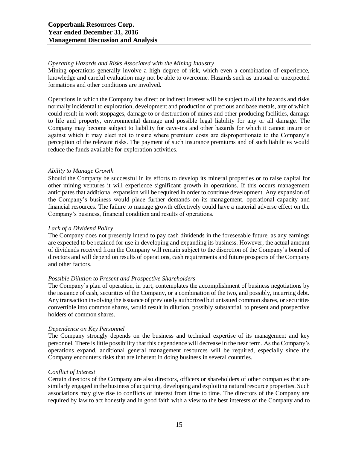## *Operating Hazards and Risks Associated with the Mining Industry*

Mining operations generally involve a high degree of risk, which even a combination of experience, knowledge and careful evaluation may not be able to overcome. Hazards such as unusual or unexpected formations and other conditions are involved.

Operations in which the Company has direct or indirect interest will be subject to all the hazards and risks normally incidental to exploration, development and production of precious and base metals, any of which could result in work stoppages, damage to or destruction of mines and other producing facilities, damage to life and property, environmental damage and possible legal liability for any or all damage. The Company may become subject to liability for cave-ins and other hazards for which it cannot insure or against which it may elect not to insure where premium costs are disproportionate to the Company's perception of the relevant risks. The payment of such insurance premiums and of such liabilities would reduce the funds available for exploration activities.

## *Ability to Manage Growth*

Should the Company be successful in its efforts to develop its mineral properties or to raise capital for other mining ventures it will experience significant growth in operations. If this occurs management anticipates that additional expansion will be required in order to continue development. Any expansion of the Company's business would place further demands on its management, operational capacity and financial resources. The failure to manage growth effectively could have a material adverse effect on the Company's business, financial condition and results of operations.

## *Lack of a Dividend Policy*

The Company does not presently intend to pay cash dividends in the foreseeable future, as any earnings are expected to be retained for use in developing and expanding its business. However, the actual amount of dividends received from the Company will remain subject to the discretion of the Company's board of directors and will depend on results of operations, cash requirements and future prospects of the Company and other factors.

# *Possible Dilution to Present and Prospective Shareholders*

The Company's plan of operation, in part, contemplates the accomplishment of business negotiations by the issuance of cash, securities of the Company, or a combination of the two, and possibly, incurring debt. Any transaction involving the issuance of previously authorized but unissued common shares, or securities convertible into common shares, would result in dilution, possibly substantial, to present and prospective holders of common shares.

## *Dependence on Key Personnel*

The Company strongly depends on the business and technical expertise of its management and key personnel. There is little possibility that this dependence will decrease in the near term. As the Company's operations expand, additional general management resources will be required, especially since the Company encounters risks that are inherent in doing business in several countries.

## *Conflict of Interest*

Certain directors of the Company are also directors, officers or shareholders of other companies that are similarly engaged in the business of acquiring, developing and exploiting natural resource properties. Such associations may give rise to conflicts of interest from time to time. The directors of the Company are required by law to act honestly and in good faith with a view to the best interests of the Company and to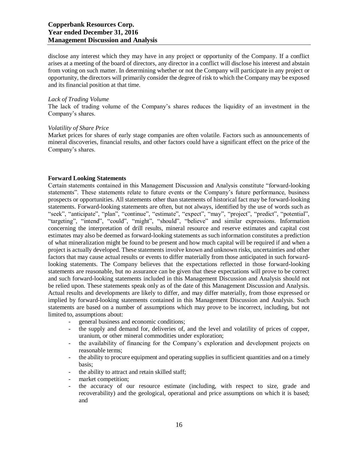disclose any interest which they may have in any project or opportunity of the Company. If a conflict arises at a meeting of the board of directors, any director in a conflict will disclose his interest and abstain from voting on such matter. In determining whether or not the Company will participate in any project or opportunity, the directors will primarily consider the degree of risk to which the Company may be exposed and its financial position at that time.

#### *Lack of Trading Volume*

The lack of trading volume of the Company's shares reduces the liquidity of an investment in the Company's shares.

#### *Volatility of Share Price*

Market prices for shares of early stage companies are often volatile. Factors such as announcements of mineral discoveries, financial results, and other factors could have a significant effect on the price of the Company's shares.

## **Forward Looking Statements**

Certain statements contained in this Management Discussion and Analysis constitute "forward-looking statements". These statements relate to future events or the Company's future performance, business prospects or opportunities. All statements other than statements of historical fact may be forward-looking statements. Forward-looking statements are often, but not always, identified by the use of words such as "seek", "anticipate", "plan", "continue", "estimate", "expect", "may", "project", "predict", "potential", "targeting", "intend", "could", "might", "should", "believe" and similar expressions. Information concerning the interpretation of drill results, mineral resource and reserve estimates and capital cost estimates may also be deemed as forward-looking statements as such information constitutes a prediction of what mineralization might be found to be present and how much capital will be required if and when a project is actually developed. These statements involve known and unknown risks, uncertainties and other factors that may cause actual results or events to differ materially from those anticipated in such forwardlooking statements. The Company believes that the expectations reflected in those forward-looking statements are reasonable, but no assurance can be given that these expectations will prove to be correct and such forward-looking statements included in this Management Discussion and Analysis should not be relied upon. These statements speak only as of the date of this Management Discussion and Analysis. Actual results and developments are likely to differ, and may differ materially, from those expressed or implied by forward-looking statements contained in this Management Discussion and Analysis. Such statements are based on a number of assumptions which may prove to be incorrect, including, but not limited to, assumptions about:

- general business and economic conditions;
- the supply and demand for, deliveries of, and the level and volatility of prices of copper, uranium, or other mineral commodities under exploration;
- the availability of financing for the Company's exploration and development projects on reasonable terms;
- the ability to procure equipment and operating supplies in sufficient quantities and on a timely basis;
- the ability to attract and retain skilled staff;
- market competition;
- the accuracy of our resource estimate (including, with respect to size, grade and recoverability) and the geological, operational and price assumptions on which it is based; and